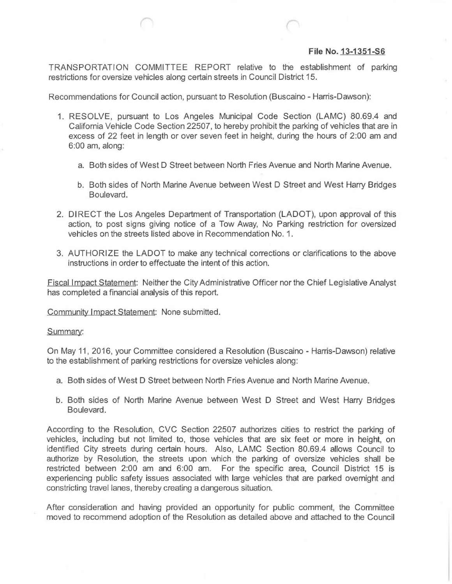## **File No. 13-1351-S6**

TRANSPORTATION COMMITTEE REPORT relative to the establishment of parking restrictions for oversize vehicles along certain streets in Council District 15.

Recommendations for Council action, pursuant to Resolution (Buscaino - Harris-Dawson):

- 1. RESOLVE, pursuant to Los Angeles Municipal Code Section (LAMC) 80.69.4 and California Vehicle Code Section 22507, to hereby prohibit the parking of vehicles that are in excess of 22 feet in length or over seven feet in height, during the hours of 2:00 am and 6:00 am, along:
	- a. Both sides of West D Street between North Fries Avenue and North Marine Avenue
	- b. Both sides of North Marine Avenue between West D Street and West Harry Bridges Boulevard.
- 2. DIRECT the Los Angeles Department of Transportation (LADOT), upon approval of this action, to post signs giving notice of a Tow Away, No Parking restriction for oversized vehicles on the streets listed above in Recommendation No. 1.
- 3. AUTHORIZE the LADOT to make any technical corrections or clarifications to the above instructions in order to effectuate the intent of this action.

Fiscal Impact Statement: Neither the City Administrative Officer nor the Chief Legislative Analyst has completed a financial analysis of this report.

Community Impact Statement: None submitted.

Summary:

On May 11, 2016, your Committee considered a Resolution (Buscaino - Harris-Dawson) relative to the establishment of parking restrictions for oversize vehicles along:

- a. Both sides of West D Street between North Fries Avenue and North Marine Avenue.
- b. Both sides of North Marine Avenue between West D Street and West Harry Bridges Boulevard.

According to tne Resolution, CVC Section 22507 authorizes cities to restrict the parking of vehicles, including but not limited to, those vehicles that are six feet or more in height, on identified City streets during certain hours. Also, LAMC Section 80.69.4 allows Council to authorize by Resolution, the streets upon which the parking of oversize vehicles shall be restricted between 2:00 am and 6:00 am. For the specific area, Council District 15 is experiencing public safety issues associated with large vehicles that are parked overnight and constricting travel lanes, thereby creating a dangerous situation.

After consideration and having provided an opportunity for public comment, the Committee moved to recommend adoption of the Resolution as detailea above and attached to the Council